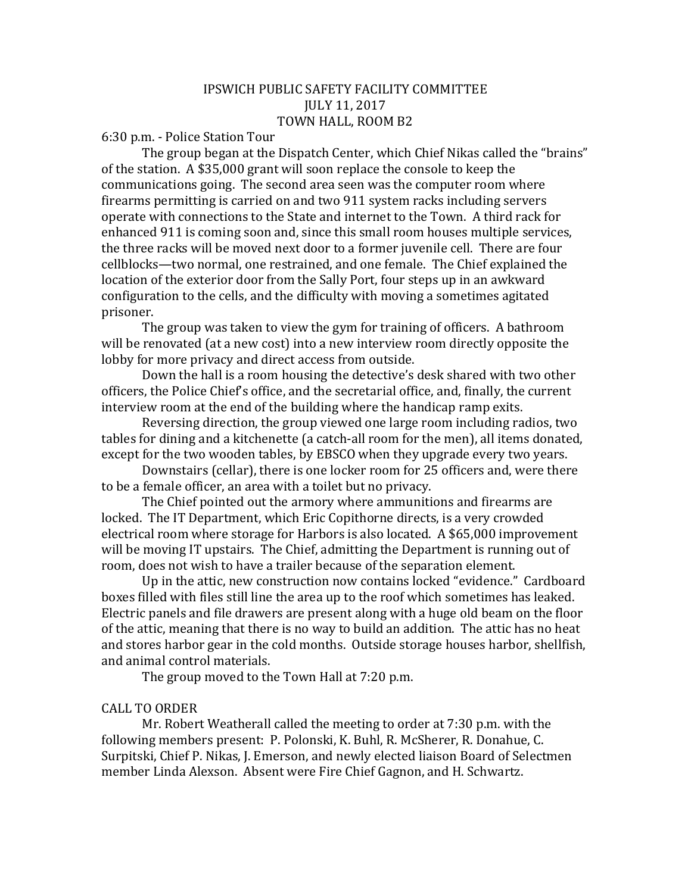# IPSWICH PUBLIC SAFETY FACILITY COMMITTEE JULY 11, 2017 TOWN HALL, ROOM B2

6:30 p.m. - Police Station Tour

The group began at the Dispatch Center, which Chief Nikas called the "brains" of the station. A \$35,000 grant will soon replace the console to keep the communications going. The second area seen was the computer room where firearms permitting is carried on and two 911 system racks including servers operate with connections to the State and internet to the Town. A third rack for enhanced 911 is coming soon and, since this small room houses multiple services, the three racks will be moved next door to a former juvenile cell. There are four cellblocks—two normal, one restrained, and one female. The Chief explained the location of the exterior door from the Sally Port, four steps up in an awkward configuration to the cells, and the difficulty with moving a sometimes agitated prisoner.

The group was taken to view the gym for training of officers. A bathroom will be renovated (at a new cost) into a new interview room directly opposite the lobby for more privacy and direct access from outside.

Down the hall is a room housing the detective's desk shared with two other officers, the Police Chief's office, and the secretarial office, and, finally, the current interview room at the end of the building where the handicap ramp exits.

Reversing direction, the group viewed one large room including radios, two tables for dining and a kitchenette (a catch-all room for the men), all items donated, except for the two wooden tables, by EBSCO when they upgrade every two years.

Downstairs (cellar), there is one locker room for 25 officers and, were there to be a female officer, an area with a toilet but no privacy.

The Chief pointed out the armory where ammunitions and firearms are locked. The IT Department, which Eric Copithorne directs, is a very crowded electrical room where storage for Harbors is also located. A \$65,000 improvement will be moving IT upstairs. The Chief, admitting the Department is running out of room, does not wish to have a trailer because of the separation element.

Up in the attic, new construction now contains locked "evidence." Cardboard boxes filled with files still line the area up to the roof which sometimes has leaked. Electric panels and file drawers are present along with a huge old beam on the floor of the attic, meaning that there is no way to build an addition. The attic has no heat and stores harbor gear in the cold months. Outside storage houses harbor, shellfish, and animal control materials.

The group moved to the Town Hall at 7:20 p.m.

## CALL TO ORDER

Mr. Robert Weatherall called the meeting to order at 7:30 p.m. with the following members present: P. Polonski, K. Buhl, R. McSherer, R. Donahue, C. Surpitski, Chief P. Nikas, J. Emerson, and newly elected liaison Board of Selectmen member Linda Alexson. Absent were Fire Chief Gagnon, and H. Schwartz.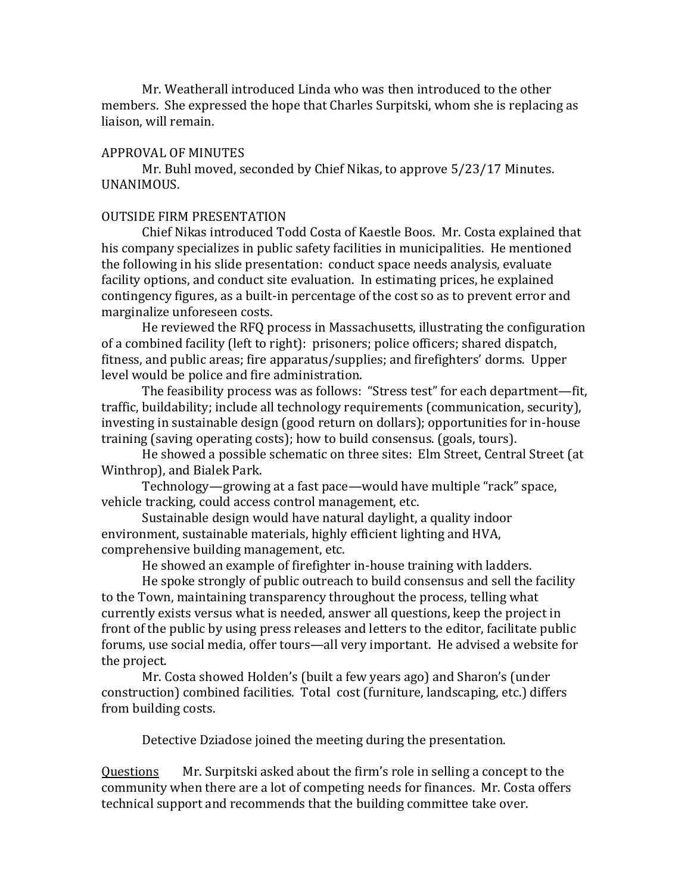Mr. Weatherall introduced Linda who was then introduced to the other members. She expressed the hope that Charles Surpitski, whom she is replacing as liaison, will remain.

## APPROVAL OF MINUTES

Mr. Buhl moved, seconded by Chief Nikas, to approve 5/23/17 Minutes. UNANIMOUS.

### OUTSIDE FIRM PRESENTATION

Chief Nikas introduced Todd Costa of Kaestle Boos. Mr. Costa explained that his company specializes in public safety facilities in municipalities. He mentioned the following in his slide presentation: conduct space needs analysis, evaluate facility options, and conduct site evaluation. In estimating prices, he explained contingency figures, as a built-in percentage of the cost so as to prevent error and marginalize unforeseen costs.

He reviewed the RFQ process in Massachusetts, illustrating the configuration of a combined facility (left to right): prisoners; police officers; shared dispatch, fitness, and public areas; fire apparatus/supplies; and firefighters' dorms. Upper level would be police and fire administration.

The feasibility process was as follows: "Stress test" for each department—fit, traffic, buildability; include all technology requirements (communication, security), investing in sustainable design (good return on dollars); opportunities for in-house training (saving operating costs); how to build consensus. (goals, tours).

He showed a possible schematic on three sites: Elm Street, Central Street (at Winthrop), and Bialek Park.

Technology—growing at a fast pace—would have multiple "rack" space, vehicle tracking, could access control management, etc.

Sustainable design would have natural daylight, a quality indoor environment, sustainable materials, highly efficient lighting and HVA, comprehensive building management, etc.

He showed an example of firefighter in-house training with ladders.

He spoke strongly of public outreach to build consensus and sell the facility to the Town, maintaining transparency throughout the process, telling what currently exists versus what is needed, answer all questions, keep the project in front of the public by using press releases and letters to the editor, facilitate public forums, use social media, offer tours—all very important. He advised a website for the project.

Mr. Costa showed Holden's (built a few years ago) and Sharon's (under construction) combined facilities. Total cost (furniture, landscaping, etc.) differs from building costs.

Detective Dziadose joined the meeting during the presentation.

Questions Mr. Surpitski asked about the firm's role in selling a concept to the community when there are a lot of competing needs for finances. Mr. Costa offers technical support and recommends that the building committee take over.